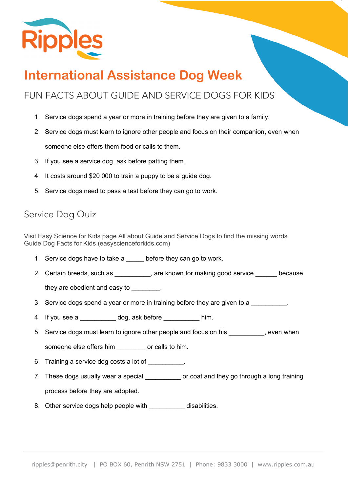

# **International Assistance Dog Week**

## FUN FACTS ABOUT GUIDE AND SERVICE DOGS FOR KIDS

- 1. Service dogs spend a year or more in training before they are given to a family.
- 2. Service dogs must learn to ignore other people and focus on their companion, even when someone else offers them food or calls to them.
- 3. If you see a service dog, ask before patting them.
- 4. It costs around \$20 000 to train a puppy to be a guide dog.
- 5. Service dogs need to pass a test before they can go to work.

#### Service Dog Quiz

Visit Easy Science for Kids page All about Guide and Service Dogs to find the missing words. Guide Dog Facts for Kids (easyscienceforkids.com)

- 1. Service dogs have to take a before they can go to work.
- 2. Certain breeds, such as \_\_\_\_\_\_\_\_\_, are known for making good service \_\_\_\_\_ because

they are obedient and easy to  $\qquad \qquad$ .

- 3. Service dogs spend a year or more in training before they are given to a
- 4. If you see a case dog, ask before thim.
- 5. Service dogs must learn to ignore other people and focus on his even when someone else offers him example or calls to him.
- 6. Training a service dog costs a lot of \_\_\_\_\_\_\_\_\_.
- 7. These dogs usually wear a special \_\_\_\_\_\_\_\_\_\_\_ or coat and they go through a long training process before they are adopted.
- 8. Other service dogs help people with \_\_\_\_\_\_\_\_\_\_\_ disabilities.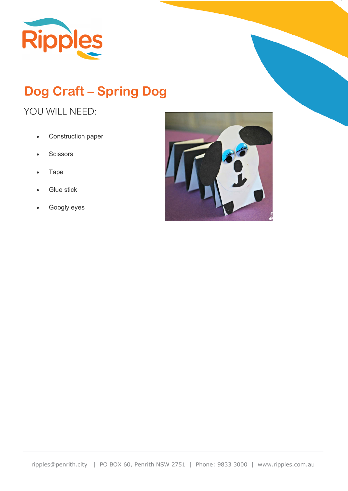

# **Dog Craft – Spring Dog**

### YOU WILL NEED:

- Construction paper
- Scissors
- Tape
- **Glue stick**
- Googly eyes